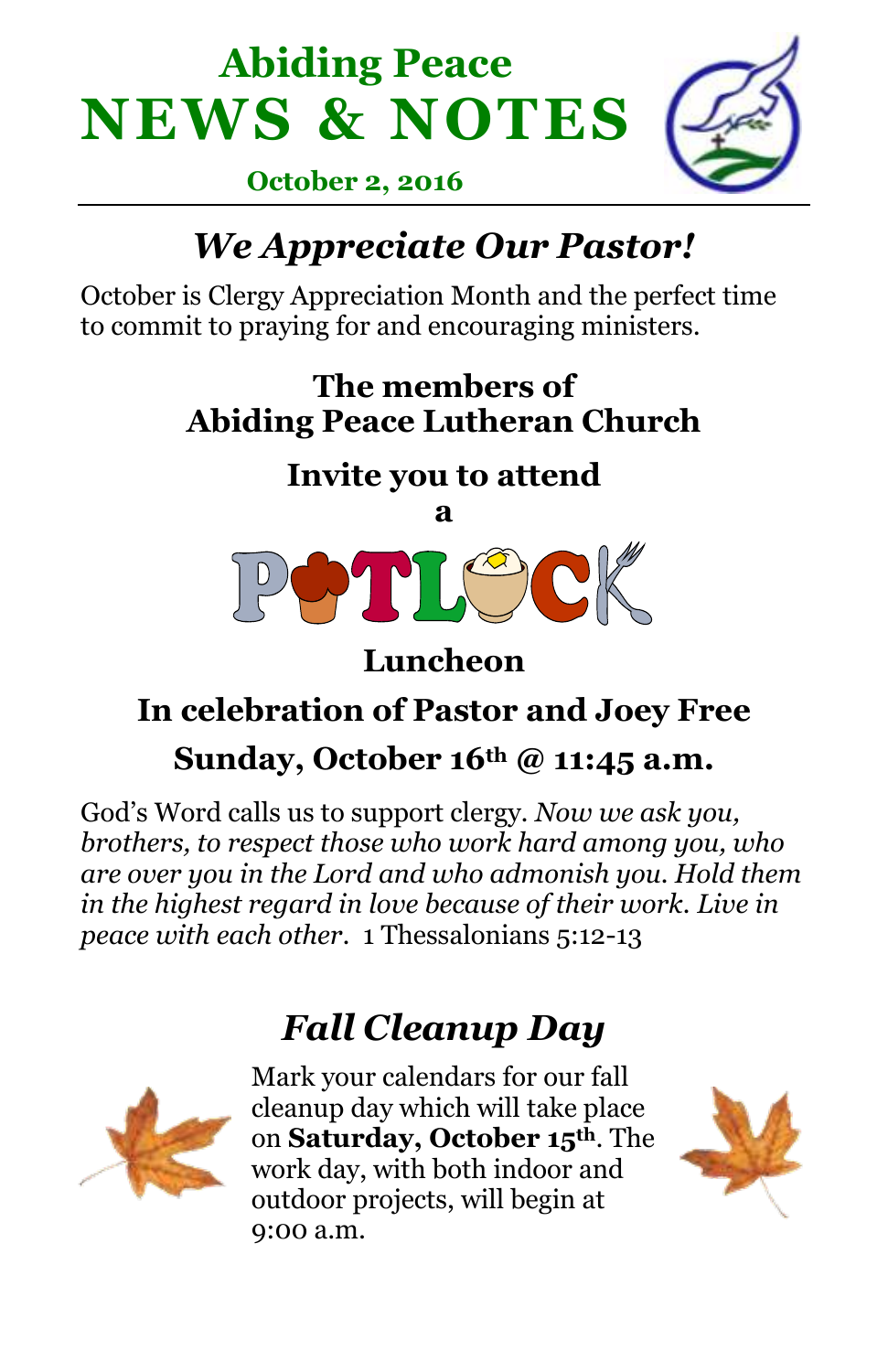



 **October 2, 2016**

# *We Appreciate Our Pastor!*

October is Clergy Appreciation Month and the perfect time to commit to praying for and encouraging ministers.

#### **The members of Abiding Peace Lutheran Church**

#### **Invite you to attend**



**Luncheon**

## **In celebration of Pastor and Joey Free**

#### **Sunday, October 16th @ 11:45 a.m.**

God's Word calls us to support clergy. *Now we ask you, brothers, to respect those who work hard among you, who are over you in the Lord and who admonish you. Hold them in the highest regard in love because of their work. Live in peace with each other*. 1 Thessalonians 5:12-13

## *Fall Cleanup Day*



Mark your calendars for our fall cleanup day which will take place on **Saturday, October 15th**. The work day, with both indoor and outdoor projects, will begin at 9:00 a.m.

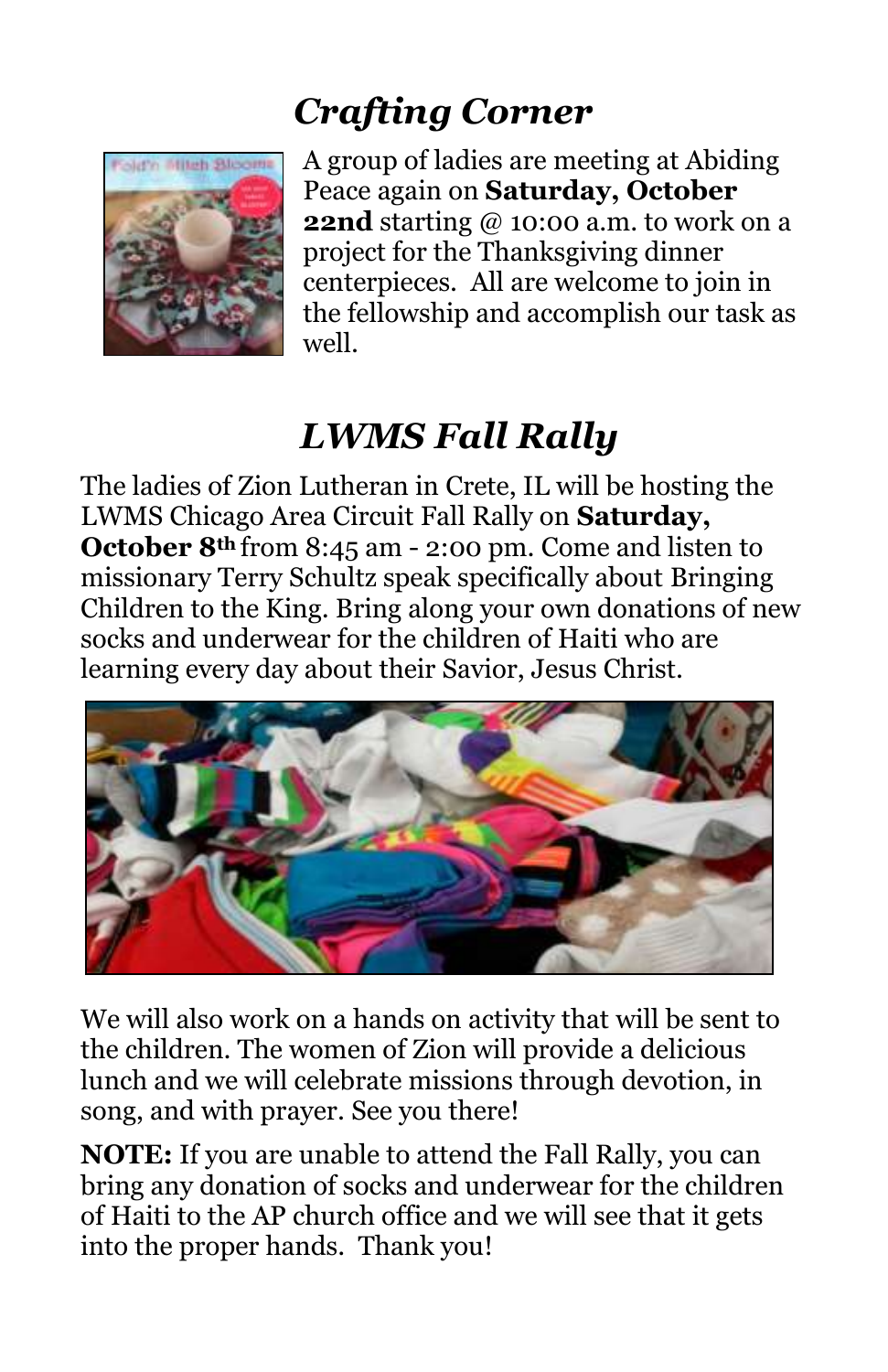## *Crafting Corner*



A group of ladies are meeting at Abiding Peace again on **Saturday, October 22nd** starting @ 10:00 a.m. to work on a project for the Thanksgiving dinner centerpieces. All are welcome to join in the fellowship and accomplish our task as well.

# *LWMS Fall Rally*

The ladies of Zion Lutheran in Crete, IL will be hosting the LWMS Chicago Area Circuit Fall Rally on **Saturday, October 8th** from 8:45 am - 2:00 pm. Come and listen to missionary Terry Schultz speak specifically about Bringing Children to the King. Bring along your own donations of new socks and underwear for the children of Haiti who are learning every day about their Savior, Jesus Christ.



We will also work on a hands on activity that will be sent to the children. The women of Zion will provide a delicious lunch and we will celebrate missions through devotion, in song, and with prayer. See you there!

**NOTE:** If you are unable to attend the Fall Rally, you can bring any donation of socks and underwear for the children of Haiti to the AP church office and we will see that it gets into the proper hands. Thank you!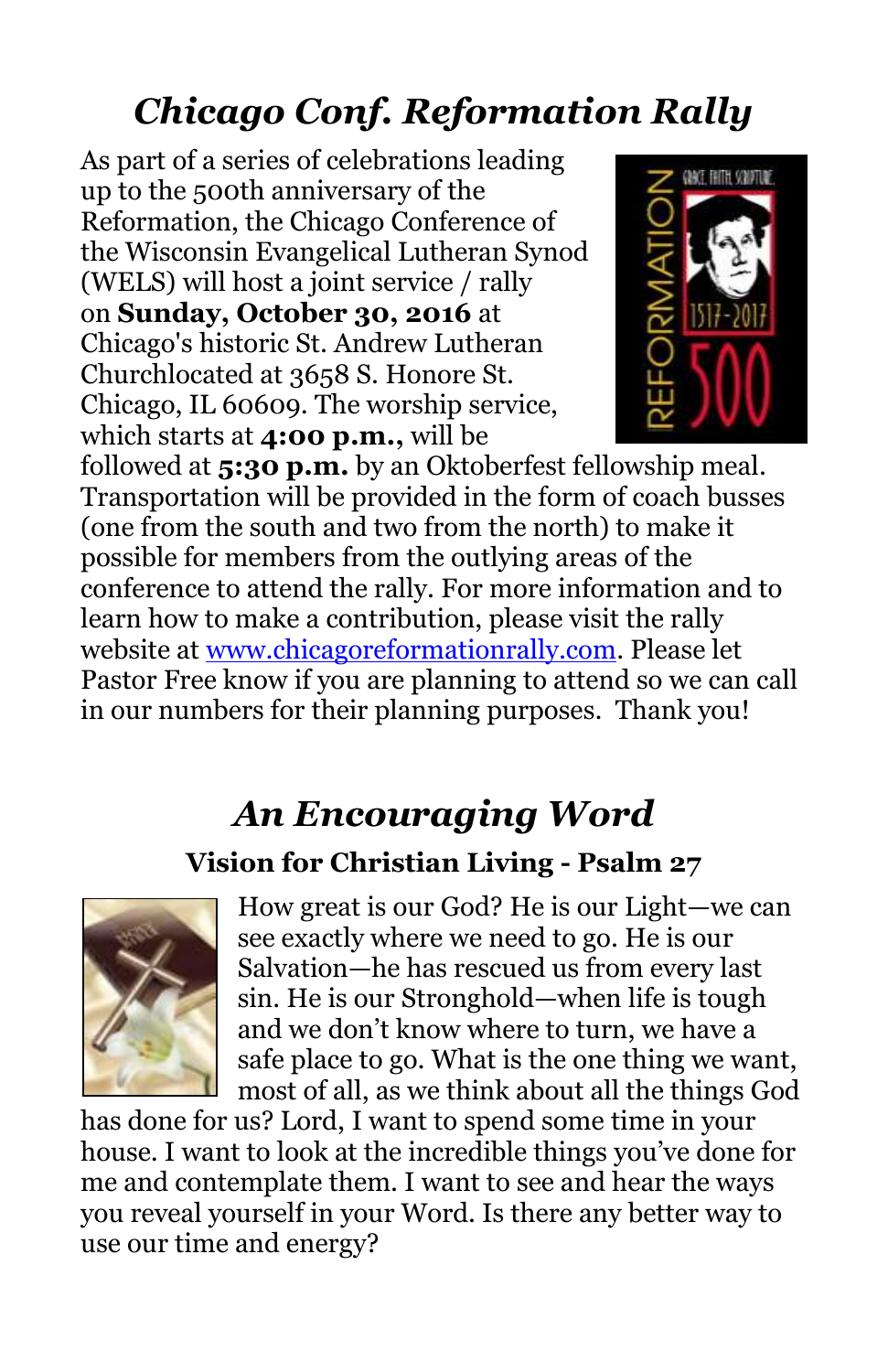# *Chicago Conf. Reformation Rally*

As part of a series of celebrations leading up to the 500th anniversary of the Reformation, the Chicago Conference of the Wisconsin Evangelical Lutheran Synod (WELS) will host a joint service / rally on **Sunday, October 30, 2016** at Chicago's historic St. Andrew Lutheran Churchlocated at 3658 S. Honore St. Chicago, IL 60609. The worship service, which starts at **4:00 p.m.,** will be



followed at **5:30 p.m.** by an Oktoberfest fellowship meal. Transportation will be provided in the form of coach busses (one from the south and two from the north) to make it possible for members from the outlying areas of the conference to attend the rally. For more information and to learn how to make a contribution, please visit the rally website at [www.chicagoreformationrally.com.](http://newlife-wels.us2.list-manage2.com/track/click?u=2652fb7e265de6ef7aa731a6d&id=ced447d1da&e=fb6ae4dd81) Please let Pastor Free know if you are planning to attend so we can call in our numbers for their planning purposes. Thank you!

#### *An Encouraging Word*

#### **Vision for Christian Living - Psalm 27**



How great is our God? He is our Light—we can see exactly where we need to go. He is our Salvation—he has rescued us from every last sin. He is our Stronghold—when life is tough and we don't know where to turn, we have a safe place to go. What is the one thing we want, most of all, as we think about all the things God

has done for us? Lord, I want to spend some time in your house. I want to look at the incredible things you've done for me and contemplate them. I want to see and hear the ways you reveal yourself in your Word. Is there any better way to use our time and energy?